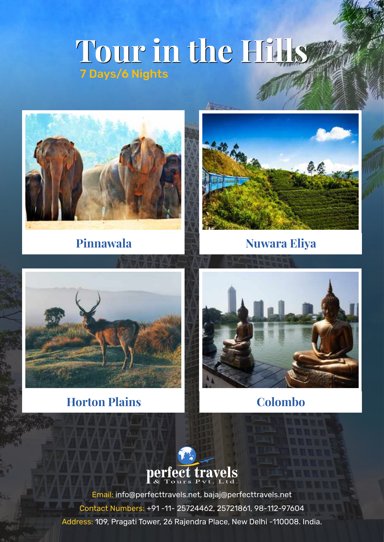# **Tour in the Hills Tour in the Hills** 7 Days/6 Nights

 $\Lambda^{-}$ 





**Pinnawala Nuwara Eliya** 



## **Horton Plains Colombo**





Email: info@perfecttravels.net, bajaj@perfecttravels.net Contact Numbers: +91 -11- 25724462, 25721861, 98-112-97604 Address: 109, Pragati Tower, 26 Rajendra Place, New Delhi -110008. India.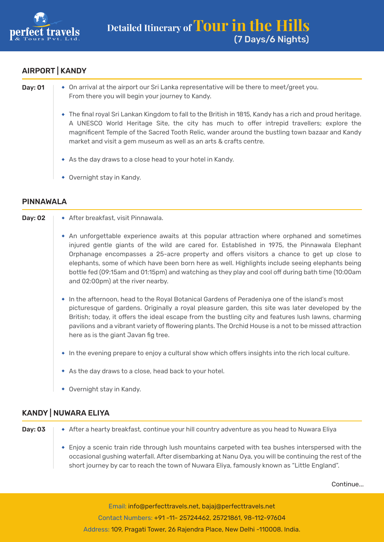

### AIRPORT | KANDY

| Day: 01 | • On arrival at the airport our Sri Lanka representative will be there to meet/greet you.<br>From there you will begin your journey to Kandy.                                                                                                                                                                                                                                 |
|---------|-------------------------------------------------------------------------------------------------------------------------------------------------------------------------------------------------------------------------------------------------------------------------------------------------------------------------------------------------------------------------------|
|         | • The final royal Sri Lankan Kingdom to fall to the British in 1815, Kandy has a rich and proud heritage.<br>A UNESCO World Heritage Site, the city has much to offer intrepid travellers; explore the<br>magnificent Temple of the Sacred Tooth Relic, wander around the bustling town bazaar and Kandy<br>market and visit a gem museum as well as an arts & crafts centre. |
|         | • As the day draws to a close head to your hotel in Kandy.                                                                                                                                                                                                                                                                                                                    |
|         | Overnight stay in Kandy.<br>$\bullet$                                                                                                                                                                                                                                                                                                                                         |

#### PINNAWALA

| Day: 02 | ◆ After breakfast, visit Pinnawala.                                                                                                                                                                                                                                                                                                                                                                                                                                                                                                   |
|---------|---------------------------------------------------------------------------------------------------------------------------------------------------------------------------------------------------------------------------------------------------------------------------------------------------------------------------------------------------------------------------------------------------------------------------------------------------------------------------------------------------------------------------------------|
|         | • An unforgettable experience awaits at this popular attraction where orphaned and sometimes<br>injured gentle giants of the wild are cared for. Established in 1975, the Pinnawala Elephant<br>Orphanage encompasses a 25-acre property and offers visitors a chance to get up close to<br>elephants, some of which have been born here as well. Highlights include seeing elephants being<br>bottle fed (09:15am and 01:15pm) and watching as they play and cool off during bath time (10:00am<br>and 02:00pm) at the river nearby. |
|         | • In the afternoon, head to the Royal Botanical Gardens of Peradeniya one of the island's most<br>picturesque of gardens. Originally a royal pleasure garden, this site was later developed by the<br>British; today, it offers the ideal escape from the bustling city and features lush lawns, charming<br>pavilions and a vibrant variety of flowering plants. The Orchid House is a not to be missed attraction<br>here as is the giant Javan fig tree.                                                                           |
|         | • In the evening prepare to enjoy a cultural show which offers insights into the rich local culture.                                                                                                                                                                                                                                                                                                                                                                                                                                  |
|         | • As the day draws to a close, head back to your hotel.                                                                                                                                                                                                                                                                                                                                                                                                                                                                               |

Overnight stay in Kandy.

#### KANDY | NUWARA ELIYA

Day: 03 After a hearty breakfast, continue your hill country adventure as you head to Nuwara Eliya

Enjoy a scenic train ride through lush mountains carpeted with tea bushes interspersed with the occasional gushing waterfall. After disembarking at Nanu Oya, you will be continuing the rest of the short journey by car to reach the town of Nuwara Eliya, famously known as "Little England".

Continue...

Email: info@perfecttravels.net, bajaj@perfecttravels.net Contact Numbers: +91 -11- 25724462, 25721861, 98-112-97604 Address: 109, Pragati Tower, 26 Rajendra Place, New Delhi -110008. India.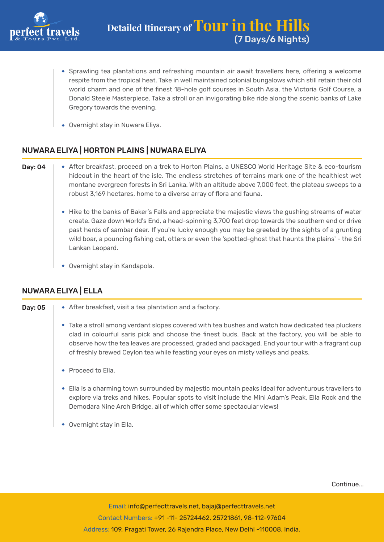

- Sprawling tea plantations and refreshing mountain air await travellers here, offering a welcome respite from the tropical heat. Take in well maintained colonial bungalows which still retain their old world charm and one of the finest 18-hole golf courses in South Asia, the Victoria Golf Course, a Donald Steele Masterpiece. Take a stroll or an invigorating bike ride along the scenic banks of Lake Gregory towards the evening.
- Overnight stay in Nuwara Eliya.

#### NUWARA ELIYA | HORTON PLAINS | NUWARA ELIYA

- Day: 04 After breakfast, proceed on a trek to Horton Plains, a UNESCO World Heritage Site & eco-tourism hideout in the heart of the isle. The endless stretches of terrains mark one of the healthiest wet montane evergreen forests in Sri Lanka. With an altitude above 7,000 feet, the plateau sweeps to a robust 3,169 hectares, home to a diverse array of flora and fauna.
	- Hike to the banks of Baker's Falls and appreciate the majestic views the gushing streams of water create. Gaze down World's End, a head-spinning 3,700 feet drop towards the southern end or drive past herds of sambar deer. If you're lucky enough you may be greeted by the sights of a grunting wild boar, a pouncing fishing cat, otters or even the 'spotted-ghost that haunts the plains' - the Sri Lankan Leopard.
	- Overnight stay in Kandapola.

#### NUWARA ELIYA | ELLA

- **Day: 05**  $\rightarrow$  After breakfast, visit a tea plantation and a factory. Take a stroll among verdant slopes covered with tea bushes and watch how dedicated tea pluckers clad in colourful saris pick and choose the finest buds. Back at the factory, you will be able to observe how the tea leaves are processed, graded and packaged. End your tour with a fragrant cup of freshly brewed Ceylon tea while feasting your eyes on misty valleys and peaks.
	- ◆ Proceed to Ella.
	- Ella is a charming town surrounded by majestic mountain peaks ideal for adventurous travellers to explore via treks and hikes. Popular spots to visit include the Mini Adam's Peak, Ella Rock and the Demodara Nine Arch Bridge, all of which offer some spectacular views!
	- Overnight stay in Ella.

Continue...